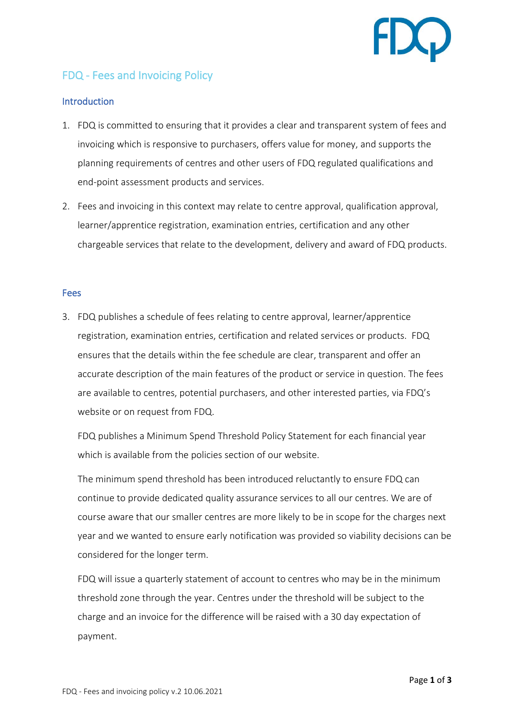

## FDQ - Fees and Invoicing Policy

## **Introduction**

- 1. FDQ is committed to ensuring that it provides a clear and transparent system of fees and invoicing which is responsive to purchasers, offers value for money, and supports the planning requirements of centres and other users of FDQ regulated qualifications and end-point assessment products and services.
- 2. Fees and invoicing in this context may relate to centre approval, qualification approval, learner/apprentice registration, examination entries, certification and any other chargeable services that relate to the development, delivery and award of FDQ products.

## Fees

3. FDQ publishes a schedule of fees relating to centre approval, learner/apprentice registration, examination entries, certification and related services or products. FDQ ensures that the details within the fee schedule are clear, transparent and offer an accurate description of the main features of the product or service in question. The fees are available to centres, potential purchasers, and other interested parties, via FDQ's website or on request from FDQ.

FDQ publishes a Minimum Spend Threshold Policy Statement for each financial year which is available from the policies section of our website.

The minimum spend threshold has been introduced reluctantly to ensure FDQ can continue to provide dedicated quality assurance services to all our centres. We are of course aware that our smaller centres are more likely to be in scope for the charges next year and we wanted to ensure early notification was provided so viability decisions can be considered for the longer term.

FDQ will issue a quarterly statement of account to centres who may be in the minimum threshold zone through the year. Centres under the threshold will be subject to the charge and an invoice for the difference will be raised with a 30 day expectation of payment.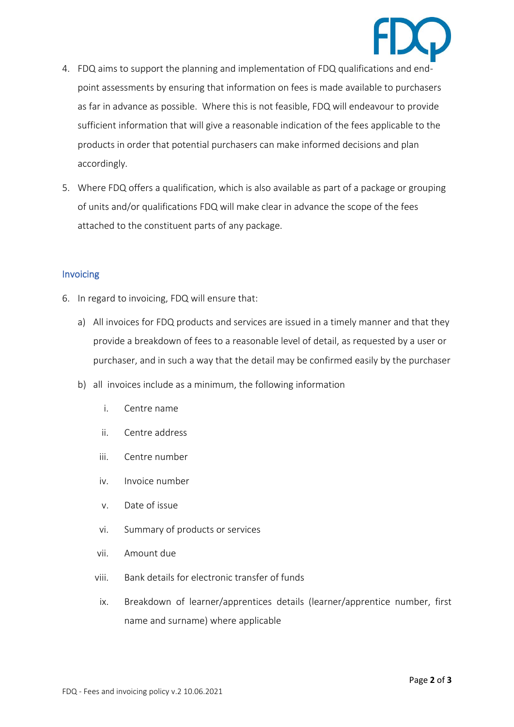

- 4. FDQ aims to support the planning and implementation of FDQ qualifications and endpoint assessments by ensuring that information on fees is made available to purchasers as far in advance as possible. Where this is not feasible, FDQ will endeavour to provide sufficient information that will give a reasonable indication of the fees applicable to the products in order that potential purchasers can make informed decisions and plan accordingly.
- 5. Where FDQ offers a qualification, which is also available as part of a package or grouping of units and/or qualifications FDQ will make clear in advance the scope of the fees attached to the constituent parts of any package.

## Invoicing

- 6. In regard to invoicing, FDQ will ensure that:
	- a) All invoices for FDQ products and services are issued in a timely manner and that they provide a breakdown of fees to a reasonable level of detail, as requested by a user or purchaser, and in such a way that the detail may be confirmed easily by the purchaser
	- b) all invoices include as a minimum, the following information
		- i. Centre name
		- ii. Centre address
		- iii. Centre number
		- iv. Invoice number
		- v. Date of issue
		- vi. Summary of products or services
		- vii. Amount due
		- viii. Bank details for electronic transfer of funds
		- ix. Breakdown of learner/apprentices details (learner/apprentice number, first name and surname) where applicable